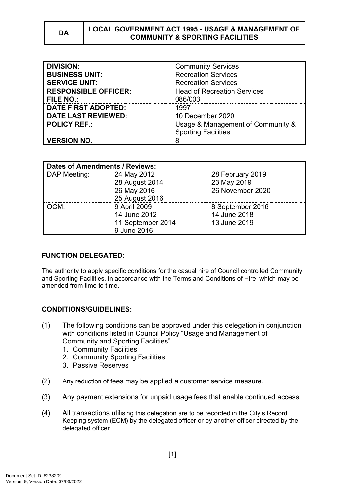| <b>DIVISION:</b>            | <b>Community Services</b>                                       |  |
|-----------------------------|-----------------------------------------------------------------|--|
| <b>BUSINESS UNIT:</b>       | <b>Recreation Services</b>                                      |  |
| <b>SERVICE UNIT:</b>        | <b>Recreation Services</b>                                      |  |
| <b>RESPONSIBLE OFFICER:</b> | <b>Head of Recreation Services</b>                              |  |
| <b>FILE NO.:</b>            | 086/003                                                         |  |
| <b>DATE FIRST ADOPTED:</b>  | 1997                                                            |  |
| <b>DATE LAST REVIEWED:</b>  | 10 December 2020                                                |  |
| <b>POLICY REF.:</b>         | Usage & Management of Community &<br><b>Sporting Facilities</b> |  |
| <b>VERSION NO.</b>          |                                                                 |  |

| <b>Dates of Amendments / Reviews:</b> |                   |                  |
|---------------------------------------|-------------------|------------------|
| DAP Meeting:                          | 24 May 2012       | 28 February 2019 |
|                                       | 28 August 2014    | 23 May 2019      |
|                                       | 26 May 2016       | 26 November 2020 |
|                                       | 25 August 2016    |                  |
| OCM:                                  | 9 April 2009      | 8 September 2016 |
|                                       | 14 June 2012      | 14 June 2018     |
|                                       | 11 September 2014 | 13 June 2019     |
|                                       | 9 June 2016       |                  |

# **FUNCTION DELEGATED:**

The authority to apply specific conditions for the casual hire of Council controlled Community and Sporting Facilities, in accordance with the Terms and Conditions of Hire, which may be amended from time to time.

# **CONDITIONS/GUIDELINES:**

- (1) The following conditions can be approved under this delegation in conjunction with conditions listed in Council Policy "Usage and Management of Community and Sporting Facilities"
	- 1. Community Facilities
	- 2. Community Sporting Facilities
	- 3. Passive Reserves
- (2) Any reduction of fees may be applied a customer service measure.
- (3) Any payment extensions for unpaid usage fees that enable continued access.
- (4) All transactions utilising this delegation are to be recorded in the City's Record Keeping system (ECM) by the delegated officer or by another officer directed by the delegated officer.